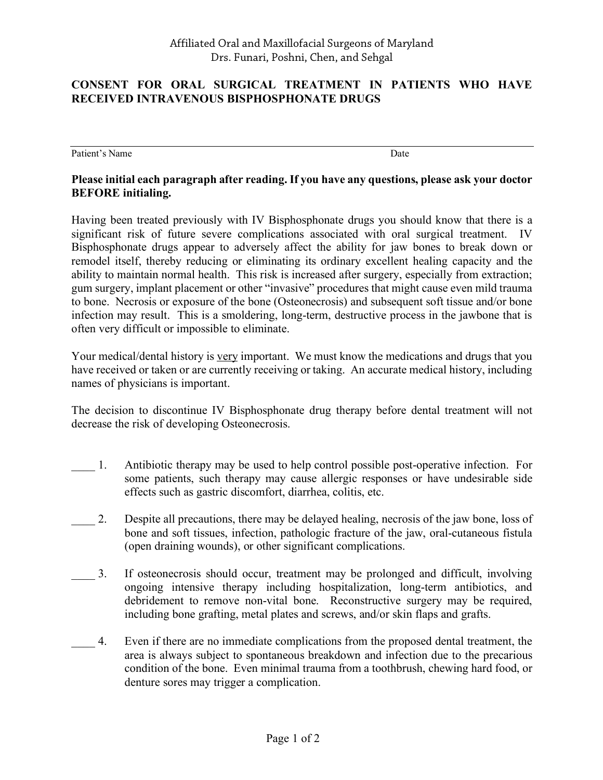## **CONSENT FOR ORAL SURGICAL TREATMENT IN PATIENTS WHO HAVE RECEIVED INTRAVENOUS BISPHOSPHONATE DRUGS**

Patient's Name Date by Name Date of the United States of the Date Date of the United States of the Date of the United States of the United States of the United States of the United States of the United States of the United

## **Please initial each paragraph after reading. If you have any questions, please ask your doctor BEFORE initialing.**

Having been treated previously with IV Bisphosphonate drugs you should know that there is a significant risk of future severe complications associated with oral surgical treatment. IV Bisphosphonate drugs appear to adversely affect the ability for jaw bones to break down or remodel itself, thereby reducing or eliminating its ordinary excellent healing capacity and the ability to maintain normal health. This risk is increased after surgery, especially from extraction; gum surgery, implant placement or other "invasive" procedures that might cause even mild trauma to bone. Necrosis or exposure of the bone (Osteonecrosis) and subsequent soft tissue and/or bone infection may result. This is a smoldering, long-term, destructive process in the jawbone that is often very difficult or impossible to eliminate.

Your medical/dental history is very important. We must know the medications and drugs that you have received or taken or are currently receiving or taking. An accurate medical history, including names of physicians is important.

The decision to discontinue IV Bisphosphonate drug therapy before dental treatment will not decrease the risk of developing Osteonecrosis.

- \_\_\_\_ 1. Antibiotic therapy may be used to help control possible post-operative infection. For some patients, such therapy may cause allergic responses or have undesirable side effects such as gastric discomfort, diarrhea, colitis, etc.
- 2. Despite all precautions, there may be delayed healing, necrosis of the jaw bone, loss of bone and soft tissues, infection, pathologic fracture of the jaw, oral-cutaneous fistula (open draining wounds), or other significant complications.
- 3. If osteonecrosis should occur, treatment may be prolonged and difficult, involving ongoing intensive therapy including hospitalization, long-term antibiotics, and debridement to remove non-vital bone. Reconstructive surgery may be required, including bone grafting, metal plates and screws, and/or skin flaps and grafts.
- \_\_\_\_ 4. Even if there are no immediate complications from the proposed dental treatment, the area is always subject to spontaneous breakdown and infection due to the precarious condition of the bone. Even minimal trauma from a toothbrush, chewing hard food, or denture sores may trigger a complication.